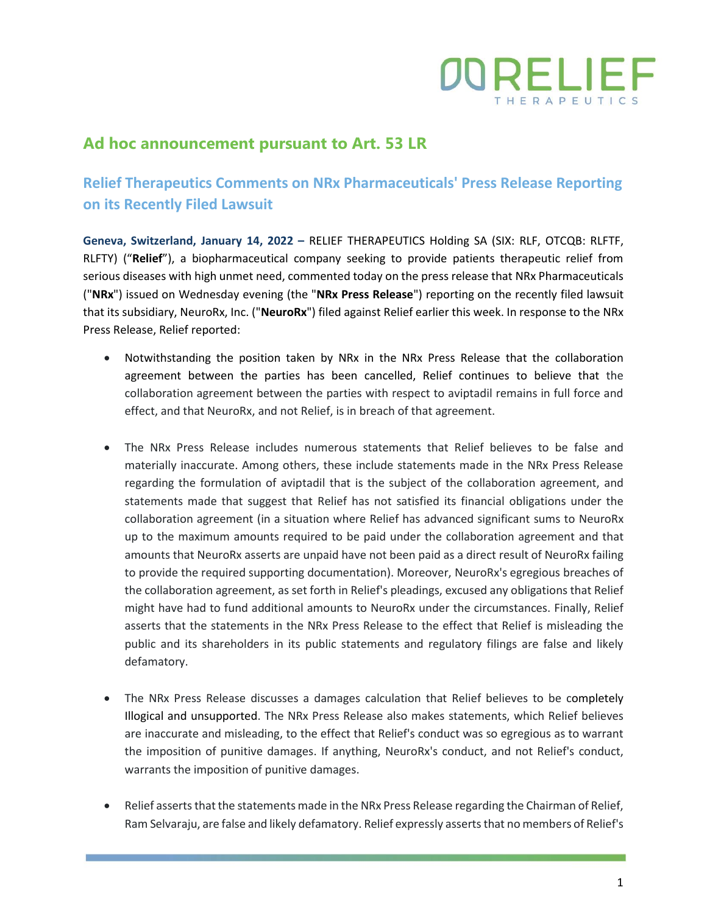

# **Ad hoc announcement pursuant to Art. 53 LR**

# **Relief Therapeutics Comments on NRx Pharmaceuticals' Press Release Reporting on its Recently Filed Lawsuit**

**Geneva, Switzerland, January 14, 2022 –** RELIEF THERAPEUTICS Holding SA (SIX: RLF, OTCQB: RLFTF, RLFTY) ("**Relief**"), a biopharmaceutical company seeking to provide patients therapeutic relief from serious diseases with high unmet need, commented today on the press release that NRx Pharmaceuticals ("**NRx**") issued on Wednesday evening (the "**NRx Press Release**") reporting on the recently filed lawsuit that its subsidiary, NeuroRx, Inc. ("**NeuroRx**") filed against Relief earlier this week. In response to the NRx Press Release, Relief reported:

- Notwithstanding the position taken by NRx in the NRx Press Release that the collaboration agreement between the parties has been cancelled, Relief continues to believe that the collaboration agreement between the parties with respect to aviptadil remains in full force and effect, and that NeuroRx, and not Relief, is in breach of that agreement.
- The NRx Press Release includes numerous statements that Relief believes to be false and materially inaccurate. Among others, these include statements made in the NRx Press Release regarding the formulation of aviptadil that is the subject of the collaboration agreement, and statements made that suggest that Relief has not satisfied its financial obligations under the collaboration agreement (in a situation where Relief has advanced significant sums to NeuroRx up to the maximum amounts required to be paid under the collaboration agreement and that amounts that NeuroRx asserts are unpaid have not been paid as a direct result of NeuroRx failing to provide the required supporting documentation). Moreover, NeuroRx's egregious breaches of the collaboration agreement, as set forth in Relief's pleadings, excused any obligations that Relief might have had to fund additional amounts to NeuroRx under the circumstances. Finally, Relief asserts that the statements in the NRx Press Release to the effect that Relief is misleading the public and its shareholders in its public statements and regulatory filings are false and likely defamatory.
- The NRx Press Release discusses a damages calculation that Relief believes to be completely Illogical and unsupported. The NRx Press Release also makes statements, which Relief believes are inaccurate and misleading, to the effect that Relief's conduct was so egregious as to warrant the imposition of punitive damages. If anything, NeuroRx's conduct, and not Relief's conduct, warrants the imposition of punitive damages.
- Relief asserts that the statements made in the NRx Press Release regarding the Chairman of Relief, Ram Selvaraju, are false and likely defamatory. Relief expressly asserts that no members of Relief's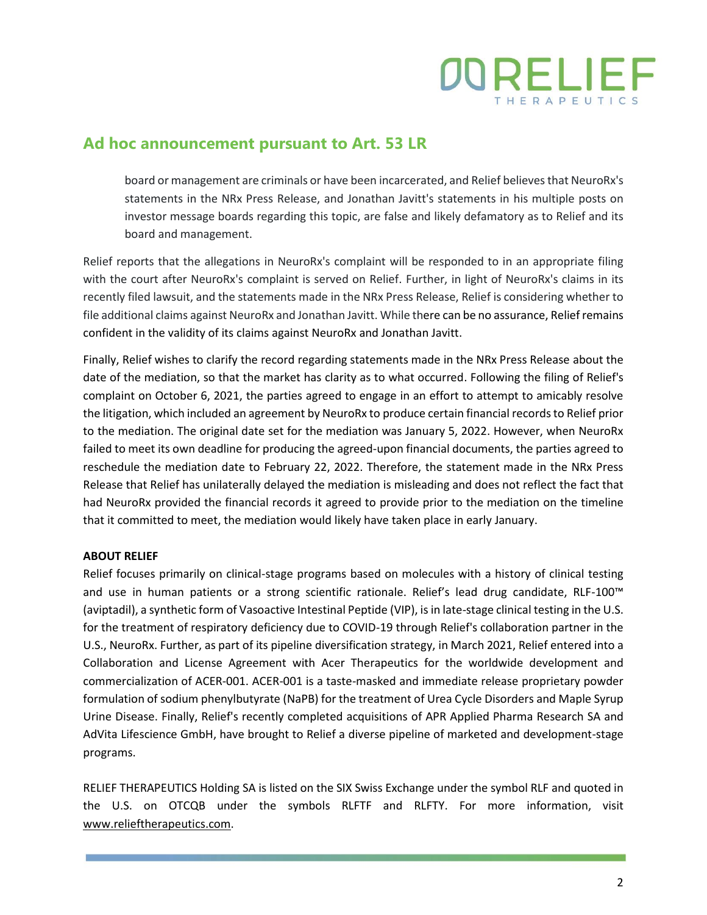

### **Ad hoc announcement pursuant to Art. 53 LR**

board or management are criminals or have been incarcerated, and Relief believes that NeuroRx's statements in the NRx Press Release, and Jonathan Javitt's statements in his multiple posts on investor message boards regarding this topic, are false and likely defamatory as to Relief and its board and management.

Relief reports that the allegations in NeuroRx's complaint will be responded to in an appropriate filing with the court after NeuroRx's complaint is served on Relief. Further, in light of NeuroRx's claims in its recently filed lawsuit, and the statements made in the NRx Press Release, Relief is considering whether to file additional claims against NeuroRx and Jonathan Javitt. While there can be no assurance, Relief remains confident in the validity of its claims against NeuroRx and Jonathan Javitt.

Finally, Relief wishes to clarify the record regarding statements made in the NRx Press Release about the date of the mediation, so that the market has clarity as to what occurred. Following the filing of Relief's complaint on October 6, 2021, the parties agreed to engage in an effort to attempt to amicably resolve the litigation, which included an agreement by NeuroRx to produce certain financial records to Relief prior to the mediation. The original date set for the mediation was January 5, 2022. However, when NeuroRx failed to meet its own deadline for producing the agreed-upon financial documents, the parties agreed to reschedule the mediation date to February 22, 2022. Therefore, the statement made in the NRx Press Release that Relief has unilaterally delayed the mediation is misleading and does not reflect the fact that had NeuroRx provided the financial records it agreed to provide prior to the mediation on the timeline that it committed to meet, the mediation would likely have taken place in early January.

#### **ABOUT RELIEF**

Relief focuses primarily on clinical-stage programs based on molecules with a history of clinical testing and use in human patients or a strong scientific rationale. Relief's lead drug candidate, RLF-100™ (aviptadil), a synthetic form of Vasoactive Intestinal Peptide (VIP), is in late-stage clinical testing in the U.S. for the treatment of respiratory deficiency due to COVID-19 through Relief's collaboration partner in the U.S., NeuroRx. Further, as part of its pipeline diversification strategy, in March 2021, Relief entered into a Collaboration and License Agreement with Acer Therapeutics for the worldwide development and commercialization of ACER-001. ACER-001 is a taste-masked and immediate release proprietary powder formulation of sodium phenylbutyrate (NaPB) for the treatment of Urea Cycle Disorders and Maple Syrup Urine Disease. Finally, Relief's recently completed acquisitions of APR Applied Pharma Research SA and AdVita Lifescience GmbH, have brought to Relief a diverse pipeline of marketed and development-stage programs.

RELIEF THERAPEUTICS Holding SA is listed on the SIX Swiss Exchange under the symbol RLF and quoted in the U.S. on OTCQB under the symbols RLFTF and RLFTY. For more information, visit [www.relieftherapeutics.com.](http://www.relieftherapeutics.com/)